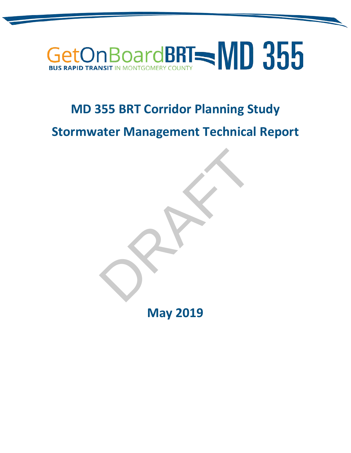# GetOnBoardBRT - MD 355

### **MD 355 BRT Corridor Planning Study**

**Stormwater Management Technical Report**

**May 2019**

RAFT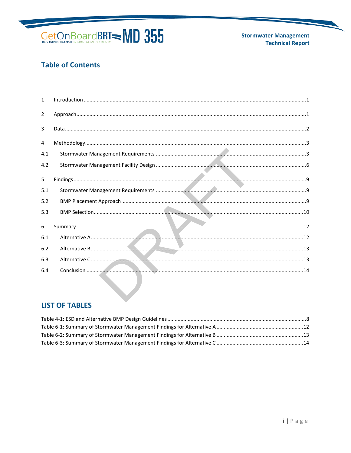

**Stormwater Management Technical Report** 

#### **Table of Contents**

| $\mathbf{1}$   | $\label{eq:1} \mbox{Introduction} \,\, \ldots \,\, \ldots \,\, \ldots \,\, \ldots \,\, \ldots \,\, \ldots \,\, \ldots \,\, \ldots \,\, \ldots \,\, \ldots \,\, \ldots \,\, \ldots \,\, \ldots \,\, \ldots \,\, \ldots \,\, \ldots \,\, \ldots \,\, \ldots \,\, \ldots \,\, \ldots \,\, \ldots \,\, \ldots \,\, \ldots \,\, \ldots \,\, \ldots \,\, \ldots \,\, \ldots \,\, \ldots \,\, \ldots \,\, \ldots \,\, \ldots \,\, \ldots \,\, \ldots \,\, \ldots \,\,$ |  |
|----------------|-----------------------------------------------------------------------------------------------------------------------------------------------------------------------------------------------------------------------------------------------------------------------------------------------------------------------------------------------------------------------------------------------------------------------------------------------------------------|--|
| $\overline{2}$ |                                                                                                                                                                                                                                                                                                                                                                                                                                                                 |  |
| $\overline{3}$ |                                                                                                                                                                                                                                                                                                                                                                                                                                                                 |  |
| 4              |                                                                                                                                                                                                                                                                                                                                                                                                                                                                 |  |
| 4.1            |                                                                                                                                                                                                                                                                                                                                                                                                                                                                 |  |
| 4.2            |                                                                                                                                                                                                                                                                                                                                                                                                                                                                 |  |
| 5              |                                                                                                                                                                                                                                                                                                                                                                                                                                                                 |  |
| 5.1            |                                                                                                                                                                                                                                                                                                                                                                                                                                                                 |  |
| 5.2            |                                                                                                                                                                                                                                                                                                                                                                                                                                                                 |  |
| 5.3            |                                                                                                                                                                                                                                                                                                                                                                                                                                                                 |  |
| 6              |                                                                                                                                                                                                                                                                                                                                                                                                                                                                 |  |
| 6.1            |                                                                                                                                                                                                                                                                                                                                                                                                                                                                 |  |
| 6.2            |                                                                                                                                                                                                                                                                                                                                                                                                                                                                 |  |
| 6.3            |                                                                                                                                                                                                                                                                                                                                                                                                                                                                 |  |
| 6.4            |                                                                                                                                                                                                                                                                                                                                                                                                                                                                 |  |

#### **LIST OF TABLES**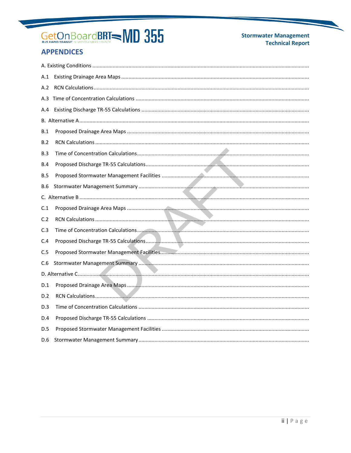#### **Stormwater Management Technical Report**

#### **APPENDICES**

| A.1        |  |
|------------|--|
| A.2        |  |
|            |  |
| A.4        |  |
|            |  |
| B.1        |  |
| B.2        |  |
| B.3        |  |
| B.4        |  |
| <b>B.5</b> |  |
| B.6        |  |
|            |  |
| C.1        |  |
| C.2        |  |
| C.3        |  |
| C.4        |  |
| C.5        |  |
| C.6        |  |
|            |  |
| D.1        |  |
| D.2        |  |
| D.3        |  |
| D.4        |  |
| D.5        |  |
| D.6        |  |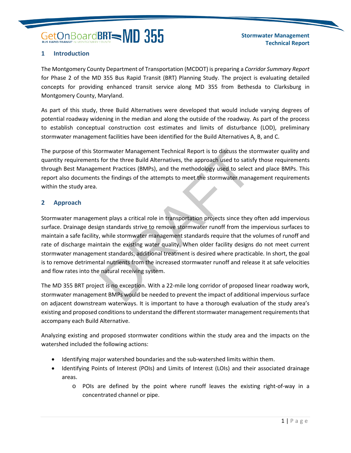#### <span id="page-3-0"></span>**1 Introduction**

The Montgomery County Department of Transportation (MCDOT) is preparing a *Corridor Summary Report* for Phase 2 of the MD 355 Bus Rapid Transit (BRT) Planning Study. The project is evaluating detailed concepts for providing enhanced transit service along MD 355 from Bethesda to Clarksburg in Montgomery County, Maryland.

As part of this study, three Build Alternatives were developed that would include varying degrees of potential roadway widening in the median and along the outside of the roadway. As part of the process to establish conceptual construction cost estimates and limits of disturbance (LOD), preliminary stormwater management facilities have been identified for the Build Alternatives A, B, and C.

The purpose of this Stormwater Management Technical Report is to discuss the stormwater quality and quantity requirements for the three Build Alternatives, the approach used to satisfy those requirements through Best Management Practices (BMPs), and the methodology used to select and place BMPs. This report also documents the findings of the attempts to meet the stormwater management requirements within the study area.

#### <span id="page-3-1"></span>**2 Approach**

Stormwater management plays a critical role in transportation projects since they often add impervious surface. Drainage design standards strive to remove stormwater runoff from the impervious surfaces to maintain a safe facility, while stormwater management standards require that the volumes of runoff and rate of discharge maintain the existing water quality. When older facility designs do not meet current stormwater management standards, additional treatment is desired where practicable. In short, the goal is to remove detrimental nutrients from the increased stormwater runoff and release it at safe velocities and flow rates into the natural receiving system. Community Management Technical Report is to discuss the standary for the three Build Alternatives, the approach used to satisf<br>ment Practices (BMPs), and the methodology used to select<br>s the findings of the attempts to mee

The MD 355 BRT project is no exception. With a 22-mile long corridor of proposed linear roadway work, stormwater management BMPs would be needed to prevent the impact of additional impervious surface on adjacent downstream waterways. It is important to have a thorough evaluation of the study area's existing and proposed conditions to understand the different stormwater management requirements that accompany each Build Alternative.

Analyzing existing and proposed stormwater conditions within the study area and the impacts on the watershed included the following actions:

- Identifying major watershed boundaries and the sub-watershed limits within them.
- Identifying Points of Interest (POIs) and Limits of Interest (LOIs) and their associated drainage areas.
	- o POIs are defined by the point where runoff leaves the existing right-of-way in a concentrated channel or pipe.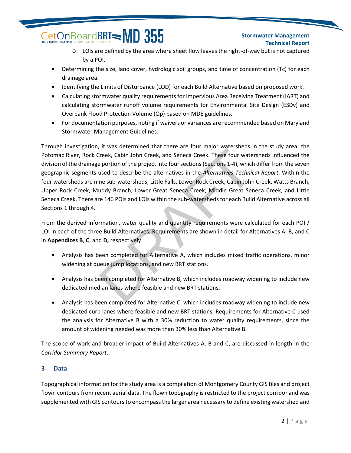#### **Stormwater Management Technical Report**

- o LOIs are defined by the area where sheet flow leaves the right-of-way but is not captured by a POI.
- Determining the size, land cover, hydrologic soil groups, and time of concentration (Tc) for each drainage area.
- Identifying the Limits of Disturbance (LOD) for each Build Alternative based on proposed work.
- Calculating stormwater quality requirements for Impervious Area Receiving Treatment (IART) and calculating stormwater runoff volume requirements for Environmental Site Design (ESDv) and Overbank Flood Protection Volume (Qp) based on MDE guidelines.
- For documentation purposes, noting if waivers or variances are recommended based on Maryland Stormwater Management Guidelines.

Through investigation, it was determined that there are four major watersheds in the study area; the Potomac River, Rock Creek, Cabin John Creek, and Seneca Creek. These four watersheds influenced the division of the drainage portion of the project into four sections (Sections 1-4), which differ from the seven geographic segments used to describe the alternatives in the *Alternatives Technical Report*. Within the four watersheds are nine sub-watersheds; Little Falls, Lower Rock Creek, Cabin John Creek, Watts Branch, Upper Rock Creek, Muddy Branch, Lower Great Seneca Creek, Middle Great Seneca Creek, and Little Seneca Creek. There are 146 POIs and LOIs within the sub-watersheds for each Build Alternative across all Sections 1 through 4. Treek, Cabin John Creek, and Seneca Creek. These four may be protion of the project into four sections (Sections 1-4), which used to describe the alternatives in the *Alternatives Technic* in the *Alternatives Technic* in

From the derived information, water quality and quantity requirements were calculated for each POI / LOI in each of the three Build Alternatives. Requirements are shown in detail for Alternatives A, B, and C in **Appendices B**, **C**, and **D,** respectively.

- Analysis has been completed for Alternative A, which includes mixed traffic operations, minor widening at queue jump locations, and new BRT stations.
- Analysis has been completed for Alternative B, which includes roadway widening to include new dedicated median lanes where feasible and new BRT stations.
- Analysis has been completed for Alternative C, which includes roadway widening to include new dedicated curb lanes where feasible and new BRT stations. Requirements for Alternative C used the analysis for Alternative B with a 30% reduction to water quality requirements, since the amount of widening needed was more than 30% less than Alternative B.

The scope of work and broader impact of Build Alternatives A, B and C, are discussed in length in the *Corridor Summary Report*.

#### <span id="page-4-0"></span>**3 Data**

Topographical information for the study area is a compilation of Montgomery County GIS files and project flown contours from recent aerial data. The flown topography is restricted to the project corridor and was supplemented with GIS contours to encompass the larger area necessary to define existing watershed and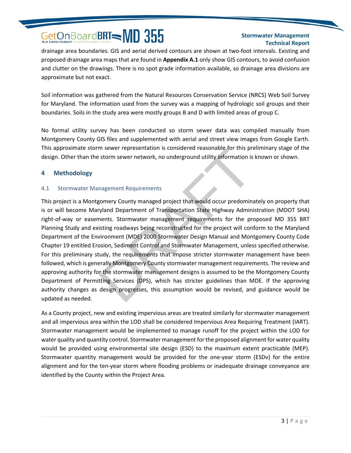#### **Stormwater Management Technical Report**

drainage area boundaries. GIS and aerial derived contours are shown at two-foot intervals. Existing and proposed drainage area maps that are found in **Appendix A.1** only show GIS contours, to avoid confusion and clutter on the drawings. There is no spot grade information available, so drainage area divisions are approximate but not exact.

Soil information was gathered from the Natural Resources Conservation Service (NRCS) Web Soil Survey for Maryland. The information used from the survey was a mapping of hydrologic soil groups and their boundaries. Soils in the study area were mostly groups B and D with limited areas of group C.

No formal utility survey has been conducted so storm sewer data was compiled manually from Montgomery County GIS files and supplemented with aerial and street view images from Google Earth. This approximate storm sewer representation is considered reasonable for this preliminary stage of the design. Other than the storm sewer network, no underground utility information is known or shown.

#### <span id="page-5-0"></span>**4 Methodology**

#### <span id="page-5-1"></span>4.1 Stormwater Management Requirements

This project is a Montgomery County managed project that would occur predominately on property that is or will become Maryland Department of Transportation State Highway Administration (MDOT SHA) right-of-way or easements. Stormwater management requirements for the proposed MD 355 BRT Planning Study and existing roadways being reconstructed for the project will conform to the Maryland Department of the Environment (MDE) 2000 Stormwater Design Manual and Montgomery County Code Chapter 19 entitled Erosion, Sediment Control and Stormwater Management, unless specified otherwise. For this preliminary study, the requirements that impose stricter stormwater management have been followed, which is generally Montgomery County stormwater management requirements. The review and approving authority for the stormwater management designs is assumed to be the Montgomery County Department of Permitting Services (DPS), which has stricter guidelines than MDE. If the approving authority changes as design progresses, this assumption would be revised, and guidance would be updated as needed. m sewer representation is considered reasonable for this present storm sewer network, no underground utility information is<br>the storm sewer network, no underground utility information is<br>magement Requirements<br>gomery County

As a County project, new and existing impervious areas are treated similarly for stormwater management and all impervious area within the LOD shall be considered Impervious Area Requiring Treatment (IART). Stormwater management would be implemented to manage runoff for the project within the LOD for water quality and quantity control. Stormwater management for the proposed alignment for water quality would be provided using environmental site design (ESD) to the maximum extent practicable (MEP). Stormwater quantity management would be provided for the one-year storm (ESDv) for the entire alignment and for the ten-year storm where flooding problems or inadequate drainage conveyance are identified by the County within the Project Area.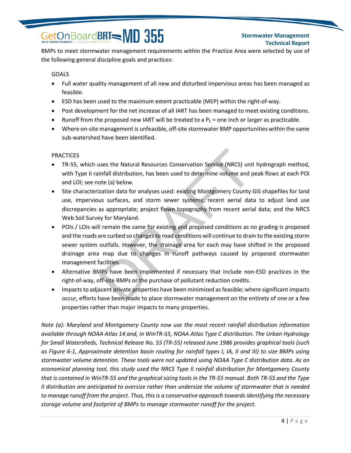#### **Stormwater Management Technical Report**

BMPs to meet stormwater management requirements within the Practice Area were selected by use of the following general discipline goals and practices:

#### **GOALS**

- Full water quality management of all new and disturbed impervious areas has been managed as feasible.
- ESD has been used to the maximum extent practicable (MEP) within the right-of-way.
- Post development for the net increase of all IART has been managed to meet existing conditions.
- Runoff from the proposed new IART will be treated to a  $P_E$  = one inch or larger as practicable.
- Where on-site management is unfeasible, off-site stormwater BMP opportunities within the same sub-watershed have been identified.

#### **PRACTICES**

- TR-55, which uses the Natural Resources Conservation Service (NRCS) unit hydrograph method, with Type II rainfall distribution, has been used to determine volume and peak flows at each POI and LOI; see note (a) below.
- Site characterization data for analyses used: existing Montgomery County GIS shapefiles for land use, impervious surfaces, and storm sewer systems; recent aerial data to adjust land use discrepancies as appropriate; project flown topography from recent aerial data; and the NRCS Web Soil Survey for Maryland.
- POIs / LOIs will remain the same for existing and proposed conditions as no grading is proposed and the roads are curbed so changes to road conditions will continue to drain to the existing storm sewer system outfalls. However, the drainage area for each may have shifted in the proposed drainage area map due to changes in runoff pathways caused by proposed stormwater management facilities. uses the Natural Resources Conservation Service (NRCS) unit<br>infall distribution, has been used to determine volume and p<br>ote (a) below.<br>ization data for analyses used: existing Montgomery County (<br>us surfaces, and storm se
- Alternative BMPs have been implemented if necessary that include non-ESD practices in the right-of-way, off-site BMPs or the purchase of pollutant reduction credits.
- Impacts to adjacent private properties have been minimized as feasible; where significant impacts occur, efforts have been made to place stormwater management on the entirety of one or a few properties rather than major impacts to many properties.

*Note (a): Maryland and Montgomery County now use the most recent rainfall distribution information available through NOAA Atlas 14 and, in WinTR-55, NOAA Atlas Type C distribution. The Urban Hydrology for Small Watersheds, Technical Release No. 55 (TR-55) released June 1986 provides graphical tools (such as Figure 6-1, Approximate detention basin routing for rainfall types I, IA, II and III) to size BMPs using stormwater volume detention. These tools were not updated using NOAA Type C distribution data. As an economical planning tool, this study used the NRCS Type II rainfall distribution for Montgomery County that is contained in WinTR-55 and the graphical sizing tools in the TR-55 manual. Both TR-55 and the Type II distribution are anticipated to oversize rather than undersize the volume of stormwater that is needed to manage runoff from the project. Thus, this is a conservative approach towards identifying the necessary storage volume and footprint of BMPs to manage stormwater runoff for the project.*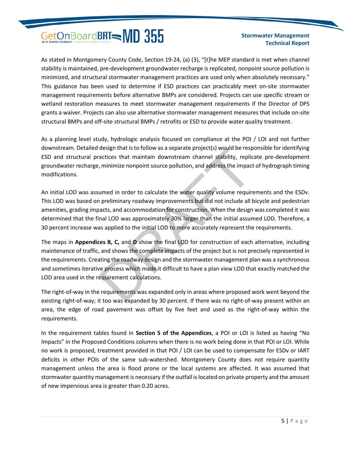#### **Stormwater Management Technical Report**

As stated in Montgomery County Code, Section 19-24, (a) (3), "[t]he MEP standard is met when channel stability is maintained, pre-development groundwater recharge is replicated, nonpoint source pollution is minimized, and structural stormwater management practices are used only when absolutely necessary." This guidance has been used to determine if ESD practices can practicably meet on-site stormwater management requirements before alternative BMPs are considered. Projects can use specific stream or wetland restoration measures to meet stormwater management requirements if the Director of DPS grants a waiver. Projects can also use alternative stormwater management measures that include on-site structural BMPs and off-site structural BMPs / retrofits or ESD to provide water quality treatment.

As a planning level study, hydrologic analysis focused on compliance at the POI / LOI and not further downstream. Detailed design that is to follow as a separate project(s) would be responsible for identifying ESD and structural practices that maintain downstream channel stability, replicate pre-development groundwater recharge, minimize nonpoint source pollution, and address the impact of hydrograph timing modifications.

An initial LOD was assumed in order to calculate the water quality volume requirements and the ESDv. This LOD was based on preliminary roadway improvements but did not include all bicycle and pedestrian amenities, grading impacts, and accommodation for construction. When the design was completed it was determined that the final LOD was approximately 30% larger than the initial assumed LOD. Therefore, a 30 percent increase was applied to the initial LOD to more accurately represent the requirements. design that is to follow as a separate project(s) would be resp<br>actices that maintain downstream channel stability, replic<br>i, minimize nonpoint source pollution, and address the impact<br>are in pact<br>are in parally volume req

The maps in **Appendices B, C,** and **D** show the final LOD for construction of each alternative, including maintenance of traffic, and shows the complete impacts of the project but is not precisely represented in the requirements. Creating the roadway design and the stormwater management plan was a synchronous and sometimes iterative process which made it difficult to have a plan view LOD that exactly matched the LOD area used in the requirement calculations.

The right-of-way in the requirements was expanded only in areas where proposed work went beyond the existing right-of-way; it too was expanded by 30 percent. If there was no right-of-way present within an area, the edge of road pavement was offset by five feet and used as the right-of-way within the requirements.

In the requirement tables found in **Section 5 of the Appendices**, a POI or LOI is listed as having "No Impacts" in the Proposed Conditions columns when there is no work being done in that POI or LOI. While no work is proposed, treatment provided in that POI / LOI can be used to compensate for ESDv or IART deficits in other POIs of the same sub-watershed. Montgomery County does not require quantity management unless the area is flood prone or the local systems are affected. It was assumed that stormwater quantity management is necessary if the outfall is located on private property and the amount of new impervious area is greater than 0.20 acres.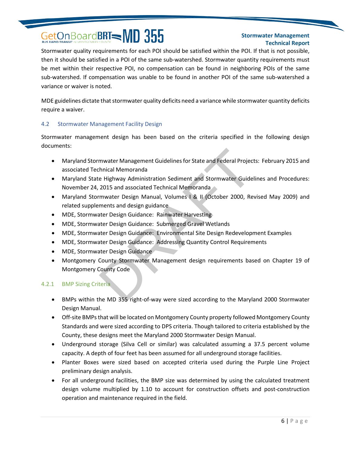#### **Stormwater Management Technical Report**

Stormwater quality requirements for each POI should be satisfied within the POI. If that is not possible, then it should be satisfied in a POI of the same sub-watershed. Stormwater quantity requirements must be met within their respective POI, no compensation can be found in neighboring POIs of the same sub-watershed. If compensation was unable to be found in another POI of the same sub-watershed a variance or waiver is noted.

MDE guidelines dictate that stormwater quality deficits need a variance while stormwater quantity deficits require a waiver.

#### <span id="page-8-0"></span>4.2 Stormwater Management Facility Design

Stormwater management design has been based on the criteria specified in the following design documents:

- Maryland Stormwater Management Guidelines for State and Federal Projects: February 2015 and associated Technical Memoranda
- Maryland State Highway Administration Sediment and Stormwater Guidelines and Procedures: November 24, 2015 and associated Technical Memoranda mwater Management Guidelines for State and Federal Project<br>
chinical Memoranda<br>
ce Highway Administration Sediment and Stormwater Guide<br>
2015 and associated Technical Memoranda<br>
rmwater Design Manual, Volumes 1 & II (Octob
- Maryland Stormwater Design Manual, Volumes I & II (October 2000, Revised May 2009) and related supplements and design guidance
- MDE, Stormwater Design Guidance: Rainwater Harvesting
- MDE, Stormwater Design Guidance: Submerged Gravel Wetlands
- MDE, Stormwater Design Guidance: Environmental Site Design Redevelopment Examples
- MDE, Stormwater Design Guidance: Addressing Quantity Control Requirements
- MDE, Stormwater Design Guidance
- Montgomery County Stormwater Management design requirements based on Chapter 19 of Montgomery County Code

#### 4.2.1 BMP Sizing Criteria

- BMPs within the MD 355 right-of-way were sized according to the Maryland 2000 Stormwater Design Manual.
- Off-site BMPs that will be located on Montgomery County property followed Montgomery County Standards and were sized according to DPS criteria. Though tailored to criteria established by the County, these designs meet the Maryland 2000 Stormwater Design Manual.
- Underground storage (Silva Cell or similar) was calculated assuming a 37.5 percent volume capacity. A depth of four feet has been assumed for all underground storage facilities.
- Planter Boxes were sized based on accepted criteria used during the Purple Line Project preliminary design analysis.
- For all underground facilities, the BMP size was determined by using the calculated treatment design volume multiplied by 1.10 to account for construction offsets and post-construction operation and maintenance required in the field.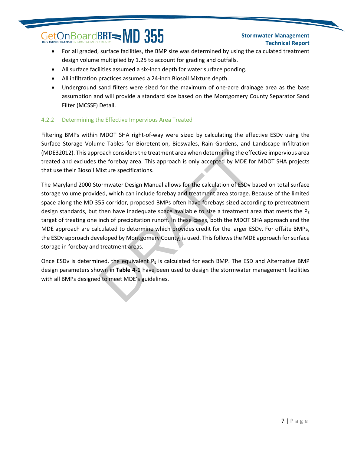#### **Stormwater Management Technical Report**

- For all graded, surface facilities, the BMP size was determined by using the calculated treatment design volume multiplied by 1.25 to account for grading and outfalls.
- All surface facilities assumed a six-inch depth for water surface ponding.
- All infiltration practices assumed a 24-inch Biosoil Mixture depth.
- Underground sand filters were sized for the maximum of one-acre drainage area as the base assumption and will provide a standard size based on the Montgomery County Separator Sand Filter (MCSSF) Detail.

#### 4.2.2 Determining the Effective Impervious Area Treated

Filtering BMPs within MDOT SHA right-of-way were sized by calculating the effective ESDv using the Surface Storage Volume Tables for Bioretention, Bioswales, Rain Gardens, and Landscape Infiltration (MDE32012). This approach considers the treatment area when determining the effective impervious area treated and excludes the forebay area. This approach is only accepted by MDE for MDOT SHA projects that use their Biosoil Mixture specifications.

The Maryland 2000 Stormwater Design Manual allows for the calculation of ESDv based on total surface storage volume provided, which can include forebay and treatment area storage. Because of the limited space along the MD 355 corridor, proposed BMPs often have forebays sized according to pretreatment design standards, but then have inadequate space available to size a treatment area that meets the  $P_E$ target of treating one inch of precipitation runoff. In these cases, both the MDOT SHA approach and the MDE approach are calculated to determine which provides credit for the larger ESDv. For offsite BMPs, the ESDv approach developed by Montgomery County, is used. This follows the MDE approach for surface storage in forebay and treatment areas. roach considers the treatment area when determining the effection considers the treatment area when determining the effection dividual allows for the calculation of ESDv by MDE folixture specifications.<br>
Sommultar Design

Once ESDv is determined, the equivalent  $P<sub>E</sub>$  is calculated for each BMP. The ESD and Alternative BMP design parameters shown in **Table 4-1** have been used to design the stormwater management facilities with all BMPs designed to meet MDE's guidelines.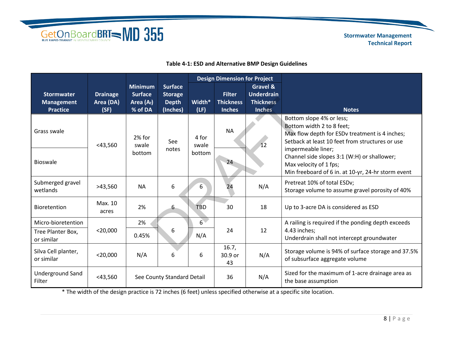

 **Stormwater Management Technical Report**

#### **Table 4-1: ESD and Alternative BMP Design Guidelines**

|                                                           |                                      |                                                             |                                                              |                          | <b>Design Dimension for Project</b>                |                                                                               |                                                                                                                                                            |  |
|-----------------------------------------------------------|--------------------------------------|-------------------------------------------------------------|--------------------------------------------------------------|--------------------------|----------------------------------------------------|-------------------------------------------------------------------------------|------------------------------------------------------------------------------------------------------------------------------------------------------------|--|
| <b>Stormwater</b><br><b>Management</b><br><b>Practice</b> | <b>Drainage</b><br>Area (DA)<br>(SF) | <b>Minimum</b><br><b>Surface</b><br>Area $(A_f)$<br>% of DA | <b>Surface</b><br><b>Storage</b><br><b>Depth</b><br>(Inches) | Width*<br>(LF)           | <b>Filter</b><br><b>Thickness</b><br><b>Inches</b> | <b>Gravel &amp;</b><br><b>Underdrain</b><br><b>Thickness</b><br><b>Inches</b> | <b>Notes</b>                                                                                                                                               |  |
| Grass swale                                               | $<$ 43,560                           | 2% for<br>swale                                             | See<br>notes                                                 | 4 for<br>swale<br>bottom | <b>NA</b>                                          | 12                                                                            | Bottom slope 4% or less;<br>Bottom width 2 to 8 feet;<br>Max flow depth for ESDv treatment is 4 inches;<br>Setback at least 10 feet from structures or use |  |
| <b>Bioswale</b>                                           |                                      | bottom                                                      |                                                              |                          | 24                                                 |                                                                               | impermeable liner;<br>Channel side slopes 3:1 (W:H) or shallower;<br>Max velocity of 1 fps;<br>Min freeboard of 6 in. at 10-yr, 24-hr storm event          |  |
| Submerged gravel<br>wetlands                              | >43,560                              | <b>NA</b>                                                   | 6                                                            | 6                        | 24                                                 | N/A                                                                           | Pretreat 10% of total ESDv;<br>Storage volume to assume gravel porosity of 40%                                                                             |  |
| <b>Bioretention</b>                                       | Max. 10<br>acres                     | 2%                                                          | 6                                                            | <b>TBD</b>               | 30                                                 | 18                                                                            | Up to 3-acre DA is considered as ESD                                                                                                                       |  |
| Micro-bioretention<br>Tree Planter Box,<br>or similar     | $<$ 20,000                           | 2%<br>0.45%                                                 | 6                                                            | $6^{\circ}$<br>N/A       | 24                                                 | 12                                                                            | A railing is required if the ponding depth exceeds<br>4.43 inches;<br>Underdrain shall not intercept groundwater                                           |  |
| Silva Cell planter,<br>or similar                         | $<$ 20,000                           | N/A                                                         | 6                                                            | 6                        | 16.7,<br>30.9 or<br>43                             | N/A                                                                           | Storage volume is 94% of surface storage and 37.5%<br>of subsurface aggregate volume                                                                       |  |
| <b>Underground Sand</b><br>Filter                         | $<$ 43,560                           |                                                             | See County Standard Detail                                   |                          | 36                                                 | N/A                                                                           | Sized for the maximum of 1-acre drainage area as<br>the base assumption                                                                                    |  |

\* The width of the design practice is 72 inches (6 feet) unless specified otherwise at a specific site location.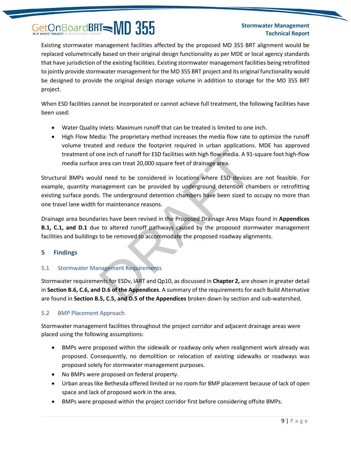#### **Stormwater Management Technical Report**

Existing stormwater management facilities affected by the proposed MD 355 BRT alignment would be replaced volumetrically based on their original design functionality as per MDE or local agency standards that have jurisdiction of the existing facilities. Existing stormwater management facilities being retrofitted to jointly provide stormwater management for the MD 355 BRT project and its original functionality would be designed to provide the original design storage volume in addition to storage for the MD 355 BRT project.

When ESD facilities cannot be incorporated or cannot achieve full treatment, the following facilities have been used:

- Water Quality Inlets: Maximum runoff that can be treated is limited to one inch.
- High Flow Media: The proprietary method increases the media flow rate to optimize the runoff volume treated and reduce the footprint required in urban applications. MDE has approved treatment of one inch of runoff for ESD facilities with high flow media. A 91-square foot high-flow media surface area can treat 20,000 square feet of drainage area.

Structural BMPs would need to be considered in locations where ESD devices are not feasible. For example, quantity management can be provided by underground detention chambers or retrofitting existing surface ponds. The underground detention chambers have been sized to occupy no more than one travel lane width for maintenance reasons. The included the Hoopmin required in about applications<br>are inch of runoff for ESD facilities with high flow media. A 91-<br>area can treat 20,000 square feet of drainage area.<br>Id need to be considered in locations where ESD

Drainage area boundaries have been revised in the Proposed Drainage Area Maps found in **Appendices B.1, C.1, and D.1** due to altered runoff pathways caused by the proposed stormwater management facilities and buildings to be removed to accommodate the proposed roadway alignments.

#### <span id="page-11-0"></span>**5 Findings**

#### <span id="page-11-1"></span>5.1 Stormwater Management Requirements

Stormwater requirements for ESDv, IART and Qp10, as discussed in **Chapter 2,** are shown in greater detail in **Section B.6, C.6, and D.6 of the Appendices**. A summary of the requirements for each Build Alternative are found in **Section B.5, C.5, and D.5 of the Appendices** broken down by section and sub-watershed.

#### <span id="page-11-2"></span>5.2 BMP Placement Approach

Stormwater management facilities throughout the project corridor and adjacent drainage areas were placed using the following assumptions:

- BMPs were proposed within the sidewalk or roadway only when realignment work already was proposed. Consequently, no demolition or relocation of existing sidewalks or roadways was proposed solely for stormwater management purposes.
- No BMPs were proposed on federal property.
- Urban areas like Bethesda offered limited or no room for BMP placement because of lack of open space and lack of proposed work in the area.
- BMPs were proposed within the project corridor first before considering offsite BMPs.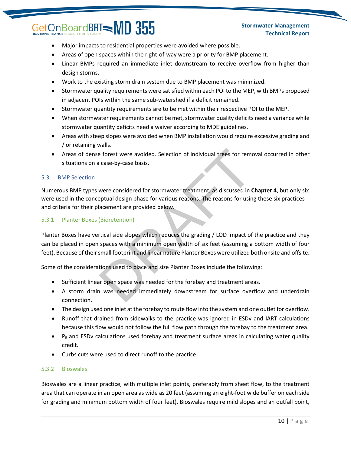#### **Stormwater Management Technical Report**

- Major impacts to residential properties were avoided where possible.
- Areas of open spaces within the right-of-way were a priority for BMP placement.
- Linear BMPs required an immediate inlet downstream to receive overflow from higher than design storms.
- Work to the existing storm drain system due to BMP placement was minimized.
- Stormwater quality requirements were satisfied within each POI to the MEP, with BMPs proposed in adjacent POIs within the same sub-watershed if a deficit remained.
- Stormwater quantity requirements are to be met within their respective POI to the MEP.
- When stormwater requirements cannot be met, stormwater quality deficits need a variance while stormwater quantity deficits need a waiver according to MDE guidelines.
- Areas with steep slopes were avoided when BMP installation would require excessive grading and / or retaining walls.
- Areas of dense forest were avoided. Selection of individual trees for removal occurred in other situations on a case-by-case basis.

#### <span id="page-12-0"></span>5.3 BMP Selection

Numerous BMP types were considered for stormwater treatment, as discussed in **Chapter 4**, but only six were used in the conceptual design phase for various reasons. The reasons for using these six practices and criteria for their placement are provided below.

#### 5.3.1 Planter Boxes (Bioretention)

Planter Boxes have vertical side slopes which reduces the grading / LOD impact of the practice and they can be placed in open spaces with a minimum open width of six feet (assuming a bottom width of four feet). Because of their small footprint and linear nature Planter Boxes were utilized both onsite and offsite. mans.<br>
The forest were avoided. Selection of individual trees for removals a case-by-case basis.<br>
Were considered for stormwater treatment, as discussed in C<br>
eptual design phase for various reasons. The reasons for using<br>

Some of the considerations used to place and size Planter Boxes include the following:

- Sufficient linear open space was needed for the forebay and treatment areas.
- A storm drain was needed immediately downstream for surface overflow and underdrain connection.
- The design used one inlet at the forebay to route flow into the system and one outlet for overflow.
- Runoff that drained from sidewalks to the practice was ignored in ESDv and IART calculations because this flow would not follow the full flow path through the forebay to the treatment area.
- $\bullet$  P<sub>E</sub> and ESDv calculations used forebay and treatment surface areas in calculating water quality credit.
- Curbs cuts were used to direct runoff to the practice.

#### 5.3.2 Bioswales

Bioswales are a linear practice, with multiple inlet points, preferably from sheet flow, to the treatment area that can operate in an open area as wide as 20 feet (assuming an eight-foot wide buffer on each side for grading and minimum bottom width of four feet). Bioswales require mild slopes and an outfall point,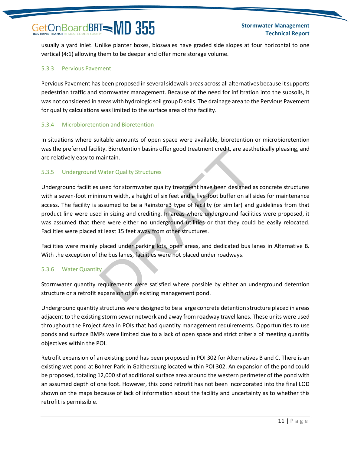usually a yard inlet. Unlike planter boxes, bioswales have graded side slopes at four horizontal to one vertical (4:1) allowing them to be deeper and offer more storage volume.

#### 5.3.3 Pervious Pavement

Pervious Pavement has been proposed in several sidewalk areas across all alternatives because it supports pedestrian traffic and stormwater management. Because of the need for infiltration into the subsoils, it was not considered in areas with hydrologic soil group D soils. The drainage area to the Pervious Pavement for quality calculations was limited to the surface area of the facility.

#### 5.3.4 Microbioretention and Bioretention

In situations where suitable amounts of open space were available, bioretention or microbioretention was the preferred facility. Bioretention basins offer good treatment credit, are aesthetically pleasing, and are relatively easy to maintain.

#### 5.3.5 Underground Water Quality Structures

Underground facilities used for stormwater quality treatment have been designed as concrete structures with a seven-foot minimum width, a height of six feet and a five-foot buffer on all sides for maintenance access. The facility is assumed to be a Rainstore3 type of facility (or similar) and guidelines from that product line were used in sizing and crediting. In areas where underground facilities were proposed, it was assumed that there were either no underground utilities or that they could be easily relocated. Facilities were placed at least 15 feet away from other structures. lity. Bioretention basins offer good treatment credit, are aest<br>
maintain.<br>
Water Quality Structures<br>
used for stormwater quality treatment have been designed a<br>
imum width, a height of six feet and a five-foot buffer on a

Facilities were mainly placed under parking lots, open areas, and dedicated bus lanes in Alternative B. With the exception of the bus lanes, facilities were not placed under roadways.

#### 5.3.6 Water Quantity

Stormwater quantity requirements were satisfied where possible by either an underground detention structure or a retrofit expansion of an existing management pond.

Underground quantity structures were designed to be a large concrete detention structure placed in areas adjacent to the existing storm sewer network and away from roadway travel lanes. These units were used throughout the Project Area in POIs that had quantity management requirements. Opportunities to use ponds and surface BMPs were limited due to a lack of open space and strict criteria of meeting quantity objectives within the POI.

Retrofit expansion of an existing pond has been proposed in POI 302 for Alternatives B and C. There is an existing wet pond at Bohrer Park in Gaithersburg located within POI 302. An expansion of the pond could be proposed, totaling 12,000 sf of additional surface area around the western perimeter of the pond with an assumed depth of one foot. However, this pond retrofit has not been incorporated into the final LOD shown on the maps because of lack of information about the facility and uncertainty as to whether this retrofit is permissible.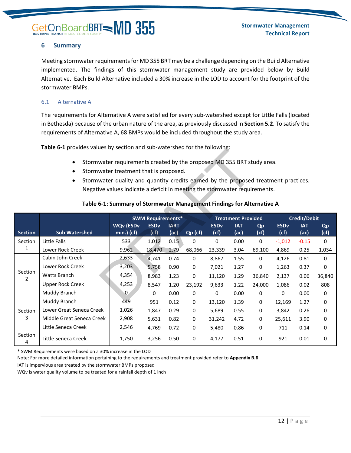#### <span id="page-14-0"></span>**6 Summary**

Meeting stormwater requirements for MD 355 BRT may be a challenge depending on the Build Alternative implemented. The findings of this stormwater management study are provided below by Build Alternative. Each Build Alternative included a 30% increase in the LOD to account for the footprint of the stormwater BMPs.

#### <span id="page-14-1"></span>6.1 Alternative A

The requirements for Alternative A were satisfied for every sub-watershed except for Little Falls (located in Bethesda) because of the urban nature of the area, as previously discussed in **Section 5.2**. To satisfy the requirements of Alternative A, 68 BMPs would be included throughout the study area.

**Table 6-1** provides values by section and sub-watershed for the following:

- Stormwater requirements created by the proposed MD 355 BRT study area.
- Stormwater treatment that is proposed.
- Stormwater quality and quantity credits earned by the proposed treatment practices. Negative values indicate a deficit in meeting the stormwater requirements.

| <b>Table 6-1</b> provides values by section and sub-watershed for the following:                                                                                                                                                                                                                                                                                                          |                                                                              |                  |             |             |          |             |            |           |             |            |           |
|-------------------------------------------------------------------------------------------------------------------------------------------------------------------------------------------------------------------------------------------------------------------------------------------------------------------------------------------------------------------------------------------|------------------------------------------------------------------------------|------------------|-------------|-------------|----------|-------------|------------|-----------|-------------|------------|-----------|
| Stormwater requirements created by the proposed MD 355 BRT study area.<br>Stormwater treatment that is proposed.<br>$\bullet$<br>Stormwater quality and quantity credits earned by the proposed treatment practices.<br>$\bullet$<br>Negative values indicate a deficit in meeting the stormwater requirements.<br>Table 6-1: Summary of Stormwater Management Findings for Alternative A |                                                                              |                  |             |             |          |             |            |           |             |            |           |
|                                                                                                                                                                                                                                                                                                                                                                                           | <b>SWM Requirements*</b><br><b>Credit/Debit</b><br><b>Treatment Provided</b> |                  |             |             |          |             |            |           |             |            |           |
|                                                                                                                                                                                                                                                                                                                                                                                           |                                                                              | <b>WQv (ESDv</b> | <b>ESDv</b> | <b>IART</b> |          | <b>ESDv</b> | <b>IAT</b> | <b>Qp</b> | <b>ESDv</b> | <b>IAT</b> | <b>Qp</b> |
| <b>Section</b>                                                                                                                                                                                                                                                                                                                                                                            | <b>Sub Watershed</b>                                                         | $min.)$ (cf)     | (cf)        | (ac)        | Qp (cf)  | (cf)        | (ac)       | (cf)      | (cf)        | (ac)       | (cf)      |
| Section                                                                                                                                                                                                                                                                                                                                                                                   | Little Falls                                                                 | 533              | 1,012       | 0.15        | 0        | $\mathbf 0$ | 0.00       | 0         | $-1,012$    | $-0.15$    | 0         |
| 1                                                                                                                                                                                                                                                                                                                                                                                         | Lower Rock Creek                                                             | 9,962            | 18,470      | 2.79        | 68,066   | 23,339      | 3.04       | 69,100    | 4,869       | 0.25       | 1,034     |
|                                                                                                                                                                                                                                                                                                                                                                                           | Cabin John Creek                                                             | 2,633            | 4,741       | 0.74        | 0        | 8,867       | 1.55       | 0         | 4,126       | 0.81       | 0         |
| Section                                                                                                                                                                                                                                                                                                                                                                                   | Lower Rock Creek                                                             | 3,203            | 5,758       | 0.90        | 0        | 7,021       | 1.27       | 0         | 1,263       | 0.37       | 0         |
| 2                                                                                                                                                                                                                                                                                                                                                                                         | Watts Branch                                                                 | 4,354            | 8,983       | 1.23        | 0        | 11,120      | 1.29       | 36,840    | 2,137       | 0.06       | 36,840    |
|                                                                                                                                                                                                                                                                                                                                                                                           | <b>Upper Rock Creek</b>                                                      | 4,253            | 8,547       | 1.20        | 23,192   | 9,633       | 1.22       | 24,000    | 1,086       | 0.02       | 808       |
|                                                                                                                                                                                                                                                                                                                                                                                           | Muddy Branch                                                                 | 0                | 0           | 0.00        | 0        | 0           | 0.00       | 0         | 0           | 0.00       | 0         |
|                                                                                                                                                                                                                                                                                                                                                                                           | Muddy Branch                                                                 | 449              | 951         | 0.12        | $\Omega$ | 13,120      | 1.39       | $\Omega$  | 12,169      | 1.27       | 0         |
| Section                                                                                                                                                                                                                                                                                                                                                                                   | Lower Great Seneca Creek                                                     | 1,026            | 1,847       | 0.29        | 0        | 5,689       | 0.55       | 0         | 3,842       | 0.26       | 0         |
| 3                                                                                                                                                                                                                                                                                                                                                                                         | Middle Great Seneca Creek                                                    | 2,908            | 5,631       | 0.82        | 0        | 31,242      | 4.72       | 0         | 25,611      | 3.90       | 0         |
|                                                                                                                                                                                                                                                                                                                                                                                           | Little Seneca Creek                                                          | 2,546            | 4,769       | 0.72        | 0        | 5,480       | 0.86       | 0         | 711         | 0.14       | 0         |
| Section<br>4                                                                                                                                                                                                                                                                                                                                                                              | Little Seneca Creek                                                          | 1,750            | 3,256       | 0.50        | 0        | 4,177       | 0.51       | 0         | 921         | 0.01       | 0         |

#### **Table 6-1: Summary of Stormwater Management Findings for Alternative A**

\* SWM Requirements were based on a 30% increase in the LOD

Note: For more detailed information pertaining to the requirements and treatment provided refer to **Appendix B.6**

IAT is impervious area treated by the stormwater BMPs proposed

WQv is water quality volume to be treated for a rainfall depth of 1 inch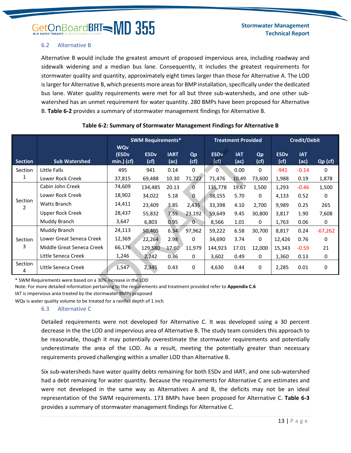#### <span id="page-15-0"></span>6.2 Alternative B

Alternative B would include the greatest amount of proposed impervious area, including roadway and sidewalk widening and a median bus lane. Consequently, it includes the greatest requirements for stormwater quality and quantity, approximately eight times larger than those for Alternative A. The LOD is larger for Alternative B, which presents more areas for BMP installation, specifically under the dedicated bus lane. Water quality requirements were met for all but three sub-watersheds, and one other subwatershed has an unmet requirement for water quantity. 280 BMPs have been proposed for Alternative B. **Table 6-2** provides a summary of stormwater management findings for Alternative B.

|                                                                          |                                                                                                                                                                               | <b>SWM Requirements*</b>        |             | <b>Treatment Provided</b> |                | Credit/Debit           |            |              |                        |            |           |
|--------------------------------------------------------------------------|-------------------------------------------------------------------------------------------------------------------------------------------------------------------------------|---------------------------------|-------------|---------------------------|----------------|------------------------|------------|--------------|------------------------|------------|-----------|
|                                                                          |                                                                                                                                                                               | <b>WQv</b><br>(ESD <sub>v</sub> | <b>ESDv</b> | <b>IART</b>               | Qp             | <b>ESD<sub>v</sub></b> | <b>IAT</b> | Qp           | <b>ESD<sub>v</sub></b> | <b>IAT</b> |           |
| <b>Section</b>                                                           | <b>Sub Watershed</b>                                                                                                                                                          | $min.)$ (cf)                    | (cf)        | (ac)                      | (cf)           | (cf)                   | (ac)       | (cf)         | (cf)                   | (ac)       | Qp (cf)   |
| Section                                                                  | Little Falls                                                                                                                                                                  | 495                             | 941         | 0.14                      | 0              | 0                      | 0.00       | $\mathbf{0}$ | $-941$                 | $-0.14$    | 0         |
| 1                                                                        | Lower Rock Creek                                                                                                                                                              | 37,815                          | 69,488      | 10.30                     | 71,722         | 71,476                 | 10.49      | 73,600       | 1,988                  | 0.19       | 1,878     |
|                                                                          | Cabin John Creek                                                                                                                                                              | 74,609                          | 134,485     | 20.13                     | $\overline{0}$ | 135,778                | 19.67      | 1,500        | 1,293                  | $-0.46$    | 1,500     |
|                                                                          | Lower Rock Creek                                                                                                                                                              | 18,902                          | 34,022      | 5.18                      | $\overline{0}$ | 38,155                 | 5.70       | 0            | 4,133                  | 0.52       | 0         |
| Section<br>$\overline{2}$                                                | Watts Branch                                                                                                                                                                  | 14,411                          | 23,409      | 3.85                      | 2,435          | 33,398                 | 4.10       | 2,700        | 9,989                  | 0.25       | 265       |
|                                                                          | <b>Upper Rock Creek</b>                                                                                                                                                       | 28,437                          | 55,832      | 7.55                      | 23,192         | 59,649                 | 9.45       | 30,800       | 3,817                  | 1.90       | 7,608     |
|                                                                          | Muddy Branch                                                                                                                                                                  | 3,647                           | 6,803       | 0.95                      | $\overline{0}$ | 8,566                  | 1.01       | 0            | 1,763                  | 0.06       | 0         |
|                                                                          | Muddy Branch                                                                                                                                                                  | 24,113                          | 50,405      | 6.34                      | 97,962         | 59,222                 | 6.58       | 30,700       | 8,817                  | 0.24       | $-67,262$ |
| Section                                                                  | Lower Great Seneca Creek                                                                                                                                                      | 12,369                          | 22,264      | 2.98                      | 0              | 34,690                 | 3.74       | 0            | 12,426                 | 0.76       | 0         |
| 3                                                                        | Middle Great Seneca Creek                                                                                                                                                     | 66,176                          | 129,580     | 17.60                     | 11,979         | 144,923                | 17.01      | 12,000       | 15,343                 | $-0.59$    | 21        |
|                                                                          | Little Seneca Creek                                                                                                                                                           | 1,246                           | 2,242       | 0.36                      | 0              | 3,602                  | 0.49       | 0            | 1,360                  | 0.13       | 0         |
| Section<br>4                                                             | Little Seneca Creek                                                                                                                                                           | 1,547                           | 2,345       | 0.43                      | 0              | 4,630                  | 0.44       | 0            | 2,285                  | 0.01       | 0         |
|                                                                          | * SWM Requirements were based on a 30% increase in the LOD<br>Note: For more detailed information pertaining to the requirements and treatment provided refer to Appendix C.6 |                                 |             |                           |                |                        |            |              |                        |            |           |
|                                                                          | IAT is impervious area treated by the stormwater BMPs proposed                                                                                                                |                                 |             |                           |                |                        |            |              |                        |            |           |
| WOy is water quality volume to be treated for a rainfall denth of 1 inch |                                                                                                                                                                               |                                 |             |                           |                |                        |            |              |                        |            |           |

#### **Table 6-2: Summary of Stormwater Management Findings for Alternative B**

WQv is water quality volume to be treated for a rainfall depth of 1 inch

#### <span id="page-15-1"></span>6.3 Alternative C

Detailed requirements were not developed for Alternative C. It was developed using a 30 percent decrease in the the LOD and impervious area of Alternative B. The study team considers this approach to be reasonable, though it may potentially overestimate the stormwater requirements and potentially underestimate the area of the LOD. As a result, meeting the potentially greater than necessary requirements proved challenging within a smaller LOD than Alternative B.

Six sub-watersheds have water quality debts remaining for both ESDv and IART, and one sub-watershed had a debt remaining for water quantity. Because the requirements for Alternative C are estimates and were not developed in the same way as Alternatives A and B, the deficits may not be an ideal representation of the SWM requirements. 173 BMPs have been proposed for Alternative C. **Table 6-3** provides a summary of stormwater management findings for Alternative C.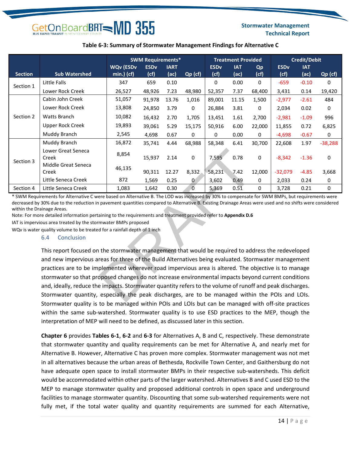#### **Stormwater Management Technical Report**

#### **Table 6-3: Summary of Stormwater Management Findings for Alternative C**

|                |                              | <b>SWM Requirements*</b>         |                                |                     |             | <b>Treatment Provided</b> |                    | <b>Credit/Debit</b> |                     |                    |           |
|----------------|------------------------------|----------------------------------|--------------------------------|---------------------|-------------|---------------------------|--------------------|---------------------|---------------------|--------------------|-----------|
| <b>Section</b> | <b>Sub Watershed</b>         | <b>WQv (ESDv</b><br>$min.)$ (cf) | <b>ESD<sub>v</sub></b><br>(cf) | <b>IART</b><br>(ac) | Qp (cf)     | <b>ESDv</b><br>(cf)       | <b>IAT</b><br>(ac) | Qp<br>(cf)          | <b>ESDv</b><br>(cf) | <b>IAT</b><br>(ac) | Qp (cf)   |
| Section 1      | Little Falls                 | 347                              | 659                            | 0.10                |             | 0                         | 0.00               | 0                   | $-659$              | $-0.10$            | 0         |
|                | Lower Rock Creek             | 26,527                           | 48,926                         | 7.23                | 48,980      | 52,357                    | 7.37               | 68,400              | 3,431               | 0.14               | 19,420    |
|                | Cabin John Creek             | 51,057                           | 91,978                         | 13.76               | 1,016       | 89,001                    | 11.15              | 1,500               | $-2,977$            | $-2.61$            | 484       |
|                | Lower Rock Creek             | 13,808                           | 24,850                         | 3.79                | 0           | 26,884                    | 3.81               | 0                   | 2,034               | 0.02               | 0         |
| Section 2      | <b>Watts Branch</b>          | 10,082                           | 16,432                         | 2.70                | 1,705       | 13,451                    | 1.61               | 2,700               | $-2,981$            | $-1.09$            | 996       |
|                | Upper Rock Creek             | 19,893                           | 39,061                         | 5.29                | 15,175      | 50,916                    | 6.00               | 22,000              | 11,855              | 0.72               | 6,825     |
|                | Muddy Branch                 | 2,545                            | 4,698                          | 0.67                | 0           | 0                         | 0.00               | 0                   | $-4,698$            | $-0.67$            | 0         |
|                | Muddy Branch                 | 16,872                           | 35,741                         | 4.44                | 68,988      | 58,348                    | 6.41               | 30,700              | 22,608              | 1.97               | $-38,288$ |
| Section 3      | Lower Great Seneca<br>Creek  | 8,854                            | 15,937                         | 2.14                | $\Omega$    | 7,595                     | 0.78               | 0                   | $-8,342$            | $-1.36$            | 0         |
|                | Middle Great Seneca<br>Creek | 46,135                           | 90,311                         | 12.27               | 8,332       | 58,231                    | 7.42               | 12,000              | $-32,079$           | $-4.85$            | 3,668     |
|                | Little Seneca Creek          | 872                              | 1,569                          | 0.25                | $\bf{0}$    | 3,602                     | 0.49               | 0                   | 2,033               | 0.24               | 0         |
| Section 4      | Little Seneca Creek          | 1,083                            | 1,642                          | 0.30                | $\mathbf 0$ | 5,369                     | 0.51               | 0                   | 3,728               | 0.21               | 0         |

\* SWM Requirements for Alternative C were based on Alternative B. The LOD was increased by 30% to compensate for SWM BMPs, but requirements were decreased by 30% due to the reduction in pavement quantities compared to Alternative B. Existing Drainage Areas were used and no shifts were considered within the Drainage Areas.

Note: For more detailed information pertaining to the requirements and treatment provided refer to **Appendix D.6**

IAT is impervious area treated by the stormwater BMPs proposed

WQv is water quality volume to be treated for a rainfall depth of 1 inch

#### <span id="page-16-0"></span>6.4 Conclusion

This report focused on the stormwater management that would be required to address the redeveloped and new impervious areas for three of the Build Alternatives being evaluated. Stormwater management practices are to be implemented wherever road impervious area is altered. The objective is to manage stormwater so that proposed changes do not increase environmental impacts beyond current conditions and, ideally, reduce the impacts. Stormwater quantity refers to the volume of runoff and peak discharges. Stormwater quantity, especially the peak discharges, are to be managed within the POIs and LOIs. Stormwater quality is to be managed within POIs and LOIs but can be managed with off-site practices within the same sub-watershed. Stormwater quality is to use ESD practices to the MEP, though the interpretation of MEP will need to be defined, as discussed later in this section. 8,854 15,937 2.14 0 7,595 0.78<br>46,135 90,311 12.27 8,332 58,231 7.42 1<br>872 1,569 0.25 0 3,602 0.49<br>1,083 1,642 0.30 0 5,369 0.51<br>parement quantities compared to Alternative B. Existing Drainage Areas v<br>aparement quantitie

**Chapter 6** provides **Tables 6-1**, **6-2** and **6-3** for Alternatives A, B and C, respectively. These demonstrate that stormwater quantity and quality requirements can be met for Alternative A, and nearly met for Alternative B. However, Alternative C has proven more complex. Stormwater management was not met in all alternatives because the urban areas of Bethesda, Rockville Town Center, and Gaithersburg do not have adequate open space to install stormwater BMPs in their respective sub-watersheds. This deficit would be accommodated within other parts of the larger watershed. Alternatives B and C used ESD to the MEP to manage stormwater quality and proposed additional controls in open space and underground facilities to manage stormwater quantity. Discounting that some sub-watershed requirements were not fully met, if the total water quality and quantity requirements are summed for each Alternative,